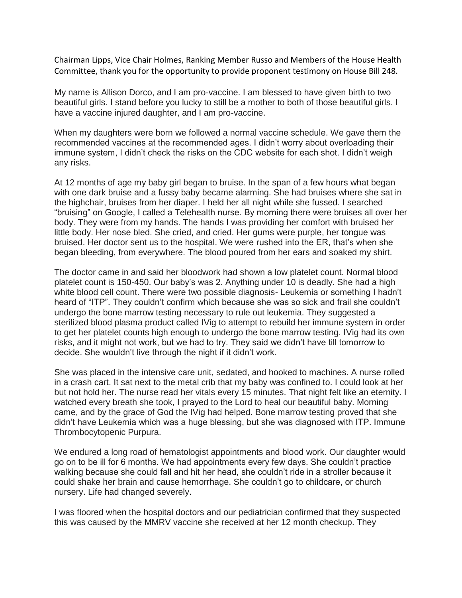Chairman Lipps, Vice Chair Holmes, Ranking Member Russo and Members of the House Health Committee, thank you for the opportunity to provide proponent testimony on House Bill 248.

My name is Allison Dorco, and I am pro-vaccine. I am blessed to have given birth to two beautiful girls. I stand before you lucky to still be a mother to both of those beautiful girls. I have a vaccine injured daughter, and I am pro-vaccine.

When my daughters were born we followed a normal vaccine schedule. We gave them the recommended vaccines at the recommended ages. I didn't worry about overloading their immune system, I didn't check the risks on the CDC website for each shot. I didn't weigh any risks.

At 12 months of age my baby girl began to bruise. In the span of a few hours what began with one dark bruise and a fussy baby became alarming. She had bruises where she sat in the highchair, bruises from her diaper. I held her all night while she fussed. I searched "bruising" on Google, I called a Telehealth nurse. By morning there were bruises all over her body. They were from my hands. The hands I was providing her comfort with bruised her little body. Her nose bled. She cried, and cried. Her gums were purple, her tongue was bruised. Her doctor sent us to the hospital. We were rushed into the ER, that's when she began bleeding, from everywhere. The blood poured from her ears and soaked my shirt.

The doctor came in and said her bloodwork had shown a low platelet count. Normal blood platelet count is 150-450. Our baby's was 2. Anything under 10 is deadly. She had a high white blood cell count. There were two possible diagnosis- Leukemia or something I hadn't heard of "ITP". They couldn't confirm which because she was so sick and frail she couldn't undergo the bone marrow testing necessary to rule out leukemia. They suggested a sterilized blood plasma product called IVig to attempt to rebuild her immune system in order to get her platelet counts high enough to undergo the bone marrow testing. IVig had its own risks, and it might not work, but we had to try. They said we didn't have till tomorrow to decide. She wouldn't live through the night if it didn't work.

She was placed in the intensive care unit, sedated, and hooked to machines. A nurse rolled in a crash cart. It sat next to the metal crib that my baby was confined to. I could look at her but not hold her. The nurse read her vitals every 15 minutes. That night felt like an eternity. I watched every breath she took, I prayed to the Lord to heal our beautiful baby. Morning came, and by the grace of God the IVig had helped. Bone marrow testing proved that she didn't have Leukemia which was a huge blessing, but she was diagnosed with ITP. Immune Thrombocytopenic Purpura.

We endured a long road of hematologist appointments and blood work. Our daughter would go on to be ill for 6 months. We had appointments every few days. She couldn't practice walking because she could fall and hit her head, she couldn't ride in a stroller because it could shake her brain and cause hemorrhage. She couldn't go to childcare, or church nursery. Life had changed severely.

I was floored when the hospital doctors and our pediatrician confirmed that they suspected this was caused by the MMRV vaccine she received at her 12 month checkup. They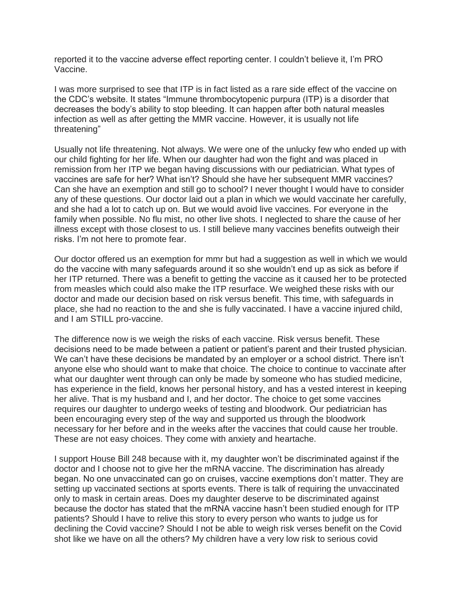reported it to the vaccine adverse effect reporting center. I couldn't believe it, I'm PRO Vaccine.

I was more surprised to see that ITP is in fact listed as a rare side effect of the vaccine on the CDC's website. It states "Immune thrombocytopenic purpura (ITP) is a disorder that decreases the body's ability to stop bleeding. It can happen after both natural measles infection as well as after getting the MMR vaccine. However, it is usually not life threatening"

Usually not life threatening. Not always. We were one of the unlucky few who ended up with our child fighting for her life. When our daughter had won the fight and was placed in remission from her ITP we began having discussions with our pediatrician. What types of vaccines are safe for her? What isn't? Should she have her subsequent MMR vaccines? Can she have an exemption and still go to school? I never thought I would have to consider any of these questions. Our doctor laid out a plan in which we would vaccinate her carefully, and she had a lot to catch up on. But we would avoid live vaccines. For everyone in the family when possible. No flu mist, no other live shots. I neglected to share the cause of her illness except with those closest to us. I still believe many vaccines benefits outweigh their risks. I'm not here to promote fear.

Our doctor offered us an exemption for mmr but had a suggestion as well in which we would do the vaccine with many safeguards around it so she wouldn't end up as sick as before if her ITP returned. There was a benefit to getting the vaccine as it caused her to be protected from measles which could also make the ITP resurface. We weighed these risks with our doctor and made our decision based on risk versus benefit. This time, with safeguards in place, she had no reaction to the and she is fully vaccinated. I have a vaccine injured child, and I am STILL pro-vaccine.

The difference now is we weigh the risks of each vaccine. Risk versus benefit. These decisions need to be made between a patient or patient's parent and their trusted physician. We can't have these decisions be mandated by an employer or a school district. There isn't anyone else who should want to make that choice. The choice to continue to vaccinate after what our daughter went through can only be made by someone who has studied medicine, has experience in the field, knows her personal history, and has a vested interest in keeping her alive. That is my husband and I, and her doctor. The choice to get some vaccines requires our daughter to undergo weeks of testing and bloodwork. Our pediatrician has been encouraging every step of the way and supported us through the bloodwork necessary for her before and in the weeks after the vaccines that could cause her trouble. These are not easy choices. They come with anxiety and heartache.

I support House Bill 248 because with it, my daughter won't be discriminated against if the doctor and I choose not to give her the mRNA vaccine. The discrimination has already began. No one unvaccinated can go on cruises, vaccine exemptions don't matter. They are setting up vaccinated sections at sports events. There is talk of requiring the unvaccinated only to mask in certain areas. Does my daughter deserve to be discriminated against because the doctor has stated that the mRNA vaccine hasn't been studied enough for ITP patients? Should I have to relive this story to every person who wants to judge us for declining the Covid vaccine? Should I not be able to weigh risk verses benefit on the Covid shot like we have on all the others? My children have a very low risk to serious covid